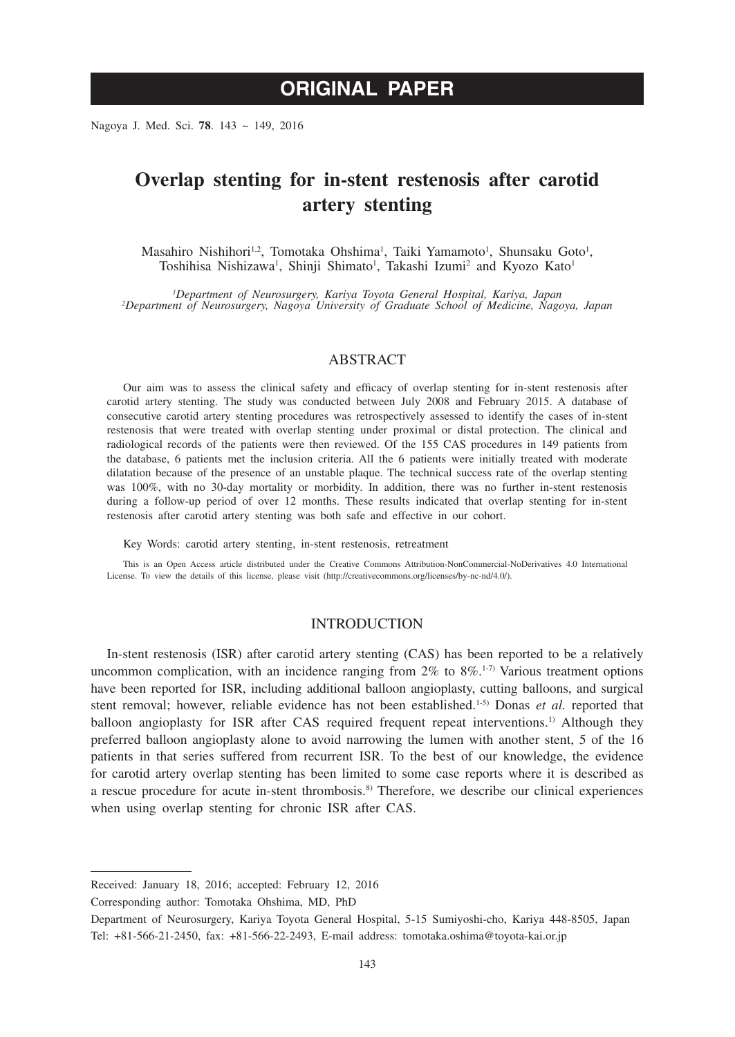# **ORIGINAL PAPER**

Nagoya J. Med. Sci. **78**. 143 ~ 149, 2016

# **Overlap stenting for in-stent restenosis after carotid artery stenting**

Masahiro Nishihori<sup>1,2</sup>, Tomotaka Ohshima<sup>1</sup>, Taiki Yamamoto<sup>1</sup>, Shunsaku Goto<sup>1</sup>, Toshihisa Nishizawa<sup>1</sup>, Shinji Shimato<sup>1</sup>, Takashi Izumi<sup>2</sup> and Kyozo Kato<sup>1</sup>

*1 Department of Neurosurgery, Kariya Toyota General Hospital, Kariya, Japan <sup>2</sup> Department of Neurosurgery, Nagoya University of Graduate School of Medicine, Nagoya, Japan*

#### ABSTRACT

Our aim was to assess the clinical safety and efficacy of overlap stenting for in-stent restenosis after carotid artery stenting. The study was conducted between July 2008 and February 2015. A database of consecutive carotid artery stenting procedures was retrospectively assessed to identify the cases of in-stent restenosis that were treated with overlap stenting under proximal or distal protection. The clinical and radiological records of the patients were then reviewed. Of the 155 CAS procedures in 149 patients from the database, 6 patients met the inclusion criteria. All the 6 patients were initially treated with moderate dilatation because of the presence of an unstable plaque. The technical success rate of the overlap stenting was 100%, with no 30-day mortality or morbidity. In addition, there was no further in-stent restenosis during a follow-up period of over 12 months. These results indicated that overlap stenting for in-stent restenosis after carotid artery stenting was both safe and effective in our cohort.

Key Words: carotid artery stenting, in-stent restenosis, retreatment

This is an Open Access article distributed under the Creative Commons Attribution-NonCommercial-NoDerivatives 4.0 International License. To view the details of this license, please visit (http://creativecommons.org/licenses/by-nc-nd/4.0/).

# INTRODUCTION

In-stent restenosis (ISR) after carotid artery stenting (CAS) has been reported to be a relatively uncommon complication, with an incidence ranging from  $2\%$  to  $8\%$ .<sup>1-7)</sup> Various treatment options have been reported for ISR, including additional balloon angioplasty, cutting balloons, and surgical stent removal; however, reliable evidence has not been established.<sup>1-5)</sup> Donas *et al.* reported that balloon angioplasty for ISR after CAS required frequent repeat interventions.<sup>1)</sup> Although they preferred balloon angioplasty alone to avoid narrowing the lumen with another stent, 5 of the 16 patients in that series suffered from recurrent ISR. To the best of our knowledge, the evidence for carotid artery overlap stenting has been limited to some case reports where it is described as a rescue procedure for acute in-stent thrombosis.8) Therefore, we describe our clinical experiences when using overlap stenting for chronic ISR after CAS.

Corresponding author: Tomotaka Ohshima, MD, PhD

Received: January 18, 2016; accepted: February 12, 2016

Department of Neurosurgery, Kariya Toyota General Hospital, 5-15 Sumiyoshi-cho, Kariya 448-8505, Japan Tel: +81-566-21-2450, fax: +81-566-22-2493, E-mail address: tomotaka.oshima@toyota-kai.or.jp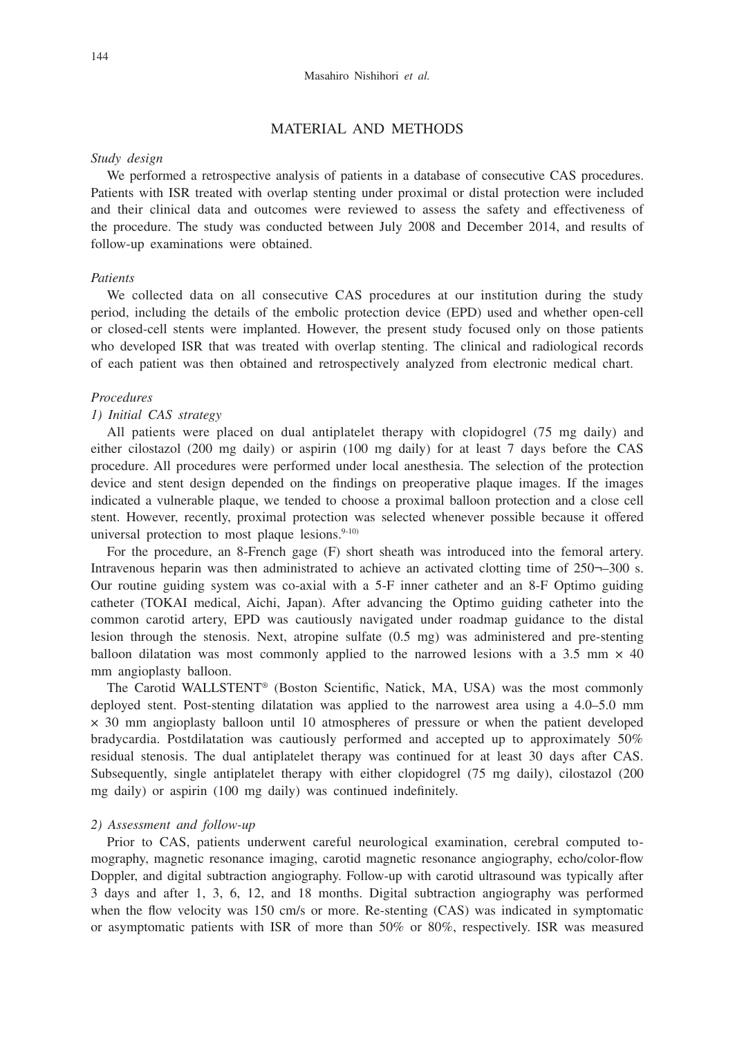# MATERIAL AND METHODS

# *Study design*

We performed a retrospective analysis of patients in a database of consecutive CAS procedures. Patients with ISR treated with overlap stenting under proximal or distal protection were included and their clinical data and outcomes were reviewed to assess the safety and effectiveness of the procedure. The study was conducted between July 2008 and December 2014, and results of follow-up examinations were obtained.

## *Patients*

We collected data on all consecutive CAS procedures at our institution during the study period, including the details of the embolic protection device (EPD) used and whether open-cell or closed-cell stents were implanted. However, the present study focused only on those patients who developed ISR that was treated with overlap stenting. The clinical and radiological records of each patient was then obtained and retrospectively analyzed from electronic medical chart.

# *Procedures*

# *1) Initial CAS strategy*

All patients were placed on dual antiplatelet therapy with clopidogrel (75 mg daily) and either cilostazol (200 mg daily) or aspirin (100 mg daily) for at least 7 days before the CAS procedure. All procedures were performed under local anesthesia. The selection of the protection device and stent design depended on the findings on preoperative plaque images. If the images indicated a vulnerable plaque, we tended to choose a proximal balloon protection and a close cell stent. However, recently, proximal protection was selected whenever possible because it offered universal protection to most plaque lesions. $9-10$ )

For the procedure, an 8-French gage (F) short sheath was introduced into the femoral artery. Intravenous heparin was then administrated to achieve an activated clotting time of 250¬–300 s. Our routine guiding system was co-axial with a 5-F inner catheter and an 8-F Optimo guiding catheter (TOKAI medical, Aichi, Japan). After advancing the Optimo guiding catheter into the common carotid artery, EPD was cautiously navigated under roadmap guidance to the distal lesion through the stenosis. Next, atropine sulfate (0.5 mg) was administered and pre-stenting balloon dilatation was most commonly applied to the narrowed lesions with a 3.5 mm  $\times$  40 mm angioplasty balloon.

The Carotid WALLSTENT® (Boston Scientific, Natick, MA, USA) was the most commonly deployed stent. Post-stenting dilatation was applied to the narrowest area using a 4.0–5.0 mm × 30 mm angioplasty balloon until 10 atmospheres of pressure or when the patient developed bradycardia. Postdilatation was cautiously performed and accepted up to approximately 50% residual stenosis. The dual antiplatelet therapy was continued for at least 30 days after CAS. Subsequently, single antiplatelet therapy with either clopidogrel (75 mg daily), cilostazol (200 mg daily) or aspirin (100 mg daily) was continued indefinitely.

#### *2) Assessment and follow-up*

Prior to CAS, patients underwent careful neurological examination, cerebral computed tomography, magnetic resonance imaging, carotid magnetic resonance angiography, echo/color-flow Doppler, and digital subtraction angiography. Follow-up with carotid ultrasound was typically after 3 days and after 1, 3, 6, 12, and 18 months. Digital subtraction angiography was performed when the flow velocity was 150 cm/s or more. Re-stenting (CAS) was indicated in symptomatic or asymptomatic patients with ISR of more than 50% or 80%, respectively. ISR was measured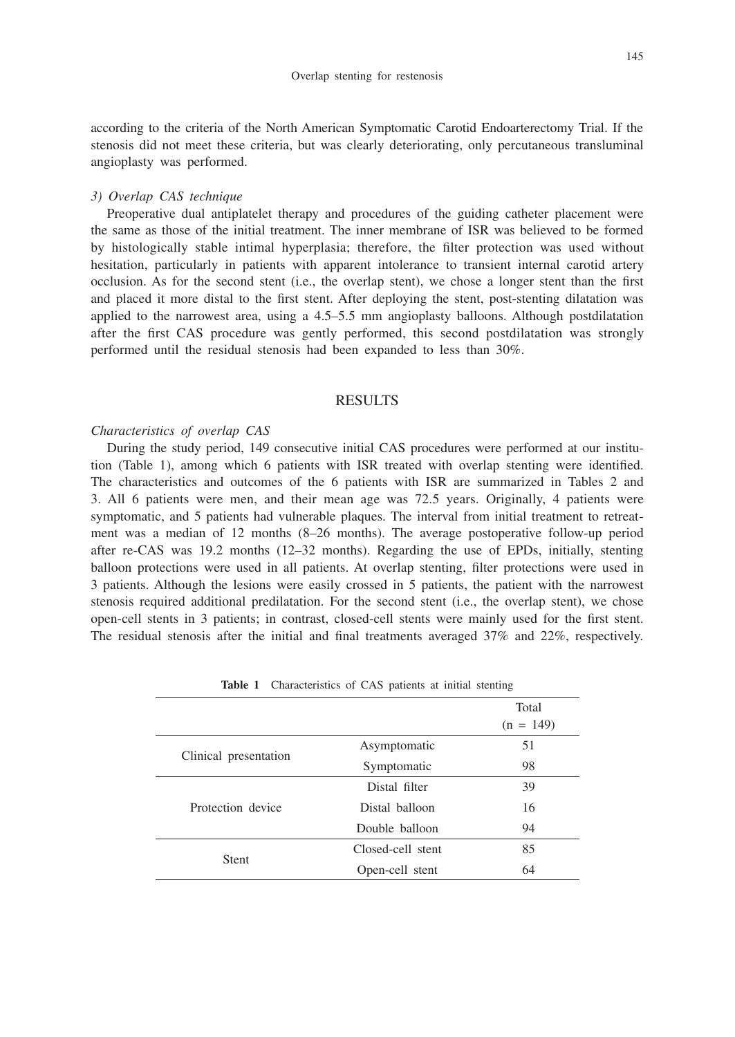145

according to the criteria of the North American Symptomatic Carotid Endoarterectomy Trial. If the stenosis did not meet these criteria, but was clearly deteriorating, only percutaneous transluminal angioplasty was performed.

#### *3) Overlap CAS technique*

Preoperative dual antiplatelet therapy and procedures of the guiding catheter placement were the same as those of the initial treatment. The inner membrane of ISR was believed to be formed by histologically stable intimal hyperplasia; therefore, the filter protection was used without hesitation, particularly in patients with apparent intolerance to transient internal carotid artery occlusion. As for the second stent (i.e., the overlap stent), we chose a longer stent than the first and placed it more distal to the first stent. After deploying the stent, post-stenting dilatation was applied to the narrowest area, using a 4.5–5.5 mm angioplasty balloons. Although postdilatation after the first CAS procedure was gently performed, this second postdilatation was strongly performed until the residual stenosis had been expanded to less than 30%.

#### **RESULTS**

#### *Characteristics of overlap CAS*

During the study period, 149 consecutive initial CAS procedures were performed at our institution (Table 1), among which 6 patients with ISR treated with overlap stenting were identified. The characteristics and outcomes of the 6 patients with ISR are summarized in Tables 2 and 3. All 6 patients were men, and their mean age was 72.5 years. Originally, 4 patients were symptomatic, and 5 patients had vulnerable plaques. The interval from initial treatment to retreatment was a median of 12 months (8–26 months). The average postoperative follow-up period after re-CAS was 19.2 months (12–32 months). Regarding the use of EPDs, initially, stenting balloon protections were used in all patients. At overlap stenting, filter protections were used in 3 patients. Although the lesions were easily crossed in 5 patients, the patient with the narrowest stenosis required additional predilatation. For the second stent (i.e., the overlap stent), we chose open-cell stents in 3 patients; in contrast, closed-cell stents were mainly used for the first stent. The residual stenosis after the initial and final treatments averaged 37% and 22%, respectively.

|                       |                   | Total<br>$(n = 149)$ |
|-----------------------|-------------------|----------------------|
|                       | Asymptomatic      | 51                   |
| Clinical presentation | Symptomatic       | 98                   |
|                       | Distal filter     | 39                   |
| Protection device     | Distal balloon    | 16                   |
|                       | Double balloon    | 94                   |
|                       | Closed-cell stent | 85                   |
| <b>Stent</b>          | Open-cell stent   | 64                   |

**Table 1** Characteristics of CAS patients at initial stenting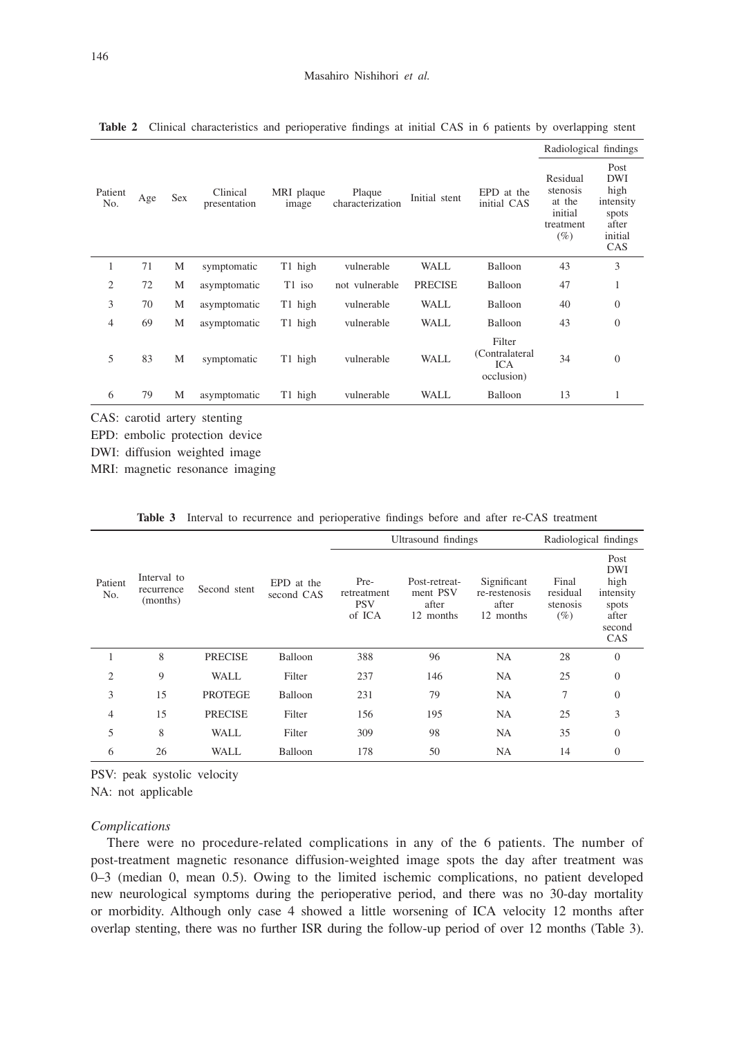|                |     |     | Clinical<br>presentation | MRI plaque<br>image |                            |                | EPD at the<br>initial CAS                            | Radiological findings                                            |                                                                             |
|----------------|-----|-----|--------------------------|---------------------|----------------------------|----------------|------------------------------------------------------|------------------------------------------------------------------|-----------------------------------------------------------------------------|
| Patient<br>No. | Age | Sex |                          |                     | Plaque<br>characterization | Initial stent  |                                                      | Residual<br>stenosis<br>at the<br>initial<br>treatment<br>$(\%)$ | Post<br><b>DWI</b><br>high<br>intensity<br>spots<br>after<br>initial<br>CAS |
| 1              | 71  | M   | symptomatic              | T1 high             | vulnerable                 | WALL           | Balloon                                              | 43                                                               | 3                                                                           |
| 2              | 72  | M   | asymptomatic             | T1 iso              | not vulnerable             | <b>PRECISE</b> | Balloon                                              | 47                                                               | 1                                                                           |
| 3              | 70  | M   | asymptomatic             | T1 high             | vulnerable                 | <b>WALL</b>    | Balloon                                              | 40                                                               | $\theta$                                                                    |
| 4              | 69  | M   | asymptomatic             | T1 high             | vulnerable                 | <b>WALL</b>    | Balloon                                              | 43                                                               | $\overline{0}$                                                              |
| 5              | 83  | M   | symptomatic              | T1 high             | vulnerable                 | <b>WALL</b>    | Filter<br>(Contralateral<br><b>ICA</b><br>occlusion) | 34                                                               | $\theta$                                                                    |
| 6              | 79  | M   | asymptomatic             | T1 high             | vulnerable                 | WALL           | Balloon                                              | 13                                                               |                                                                             |

**Table 2** Clinical characteristics and perioperative findings at initial CAS in 6 patients by overlapping stent

CAS: carotid artery stenting

EPD: embolic protection device

DWI: diffusion weighted image

MRI: magnetic resonance imaging

|                | Interval to<br>recurrence<br>(months) | Second stent   | EPD at the<br>second CAS |                                             | Ultrasound findings                             | Radiological findings                              |                                         |                                                                            |
|----------------|---------------------------------------|----------------|--------------------------|---------------------------------------------|-------------------------------------------------|----------------------------------------------------|-----------------------------------------|----------------------------------------------------------------------------|
| Patient<br>No. |                                       |                |                          | Pre-<br>retreatment<br><b>PSV</b><br>of ICA | Post-retreat-<br>ment PSV<br>after<br>12 months | Significant<br>re-restenosis<br>after<br>12 months | Final<br>residual<br>stenosis<br>$(\%)$ | Post<br><b>DWI</b><br>high<br>intensity<br>spots<br>after<br>second<br>CAS |
| 1              | 8                                     | <b>PRECISE</b> | Balloon                  | 388                                         | 96                                              | <b>NA</b>                                          | 28                                      | $\theta$                                                                   |
| $\overline{2}$ | 9                                     | <b>WALL</b>    | Filter                   | 237                                         | 146                                             | <b>NA</b>                                          | 25                                      | $\Omega$                                                                   |
| 3              | 15                                    | <b>PROTEGE</b> | Balloon                  | 231                                         | 79                                              | <b>NA</b>                                          | 7                                       | $\overline{0}$                                                             |
| $\overline{4}$ | 15                                    | <b>PRECISE</b> | Filter                   | 156                                         | 195                                             | <b>NA</b>                                          | 25                                      | 3                                                                          |
| 5              | 8                                     | <b>WALL</b>    | Filter                   | 309                                         | 98                                              | <b>NA</b>                                          | 35                                      | $\theta$                                                                   |
| 6              | 26                                    | <b>WALL</b>    | Balloon                  | 178                                         | 50                                              | <b>NA</b>                                          | 14                                      | $\Omega$                                                                   |

**Table 3** Interval to recurrence and perioperative findings before and after re-CAS treatment

PSV: peak systolic velocity

NA: not applicable

#### *Complications*

There were no procedure-related complications in any of the 6 patients. The number of post-treatment magnetic resonance diffusion-weighted image spots the day after treatment was 0–3 (median 0, mean 0.5). Owing to the limited ischemic complications, no patient developed new neurological symptoms during the perioperative period, and there was no 30-day mortality or morbidity. Although only case 4 showed a little worsening of ICA velocity 12 months after overlap stenting, there was no further ISR during the follow-up period of over 12 months (Table 3).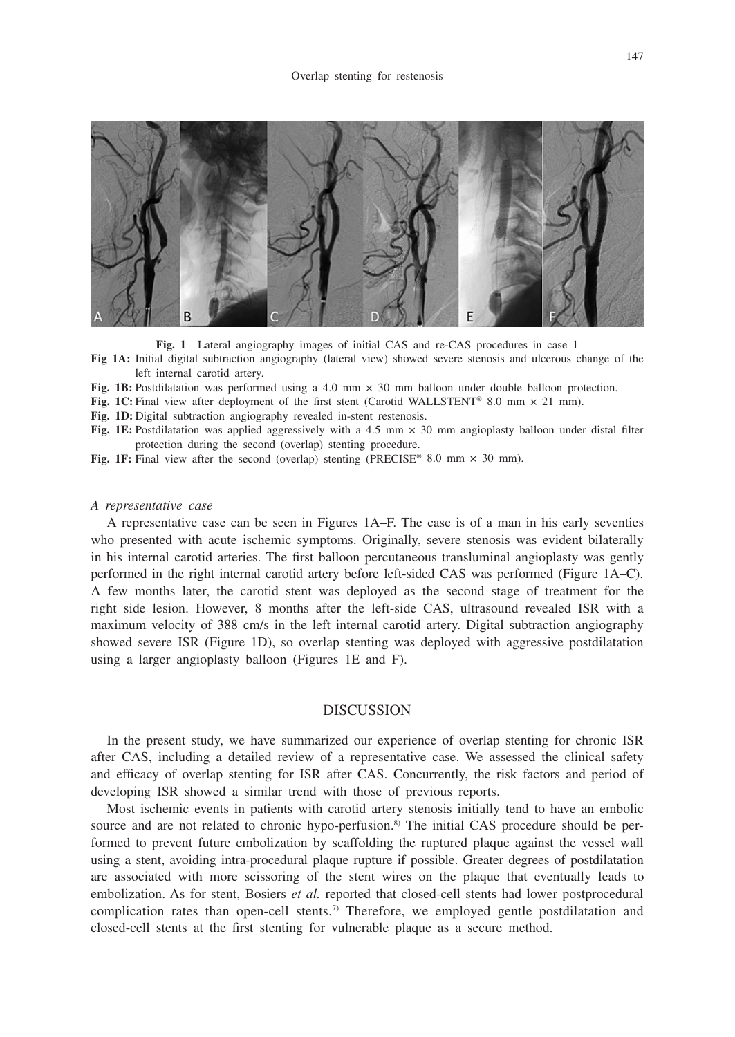

**Fig. 1** Lateral angiography images of initial CAS and re-CAS procedures in case 1

**Fig 1A:** Initial digital subtraction angiography (lateral view) showed severe stenosis and ulcerous change of the left internal carotid artery.

**Fig. 1B:** Postdilatation was performed using a 4.0 mm  $\times$  30 mm balloon under double balloon protection.

Fig. 1C: Final view after deployment of the first stent (Carotid WALLSTENT<sup>®</sup> 8.0 mm  $\times$  21 mm).

Fig. 1D: Digital subtraction angiography revealed in-stent restenosis.

Fig. 1E: Postdilatation was applied aggressively with a 4.5 mm  $\times$  30 mm angioplasty balloon under distal filter protection during the second (overlap) stenting procedure.

Fig. 1F: Final view after the second (overlap) stenting (PRECISE® 8.0 mm  $\times$  30 mm).

## *A representative case*

A representative case can be seen in Figures 1A–F. The case is of a man in his early seventies who presented with acute ischemic symptoms. Originally, severe stenosis was evident bilaterally in his internal carotid arteries. The first balloon percutaneous transluminal angioplasty was gently performed in the right internal carotid artery before left-sided CAS was performed (Figure 1A–C). A few months later, the carotid stent was deployed as the second stage of treatment for the right side lesion. However, 8 months after the left-side CAS, ultrasound revealed ISR with a maximum velocity of 388 cm/s in the left internal carotid artery. Digital subtraction angiography showed severe ISR (Figure 1D), so overlap stenting was deployed with aggressive postdilatation using a larger angioplasty balloon (Figures 1E and F).

# **DISCUSSION**

In the present study, we have summarized our experience of overlap stenting for chronic ISR after CAS, including a detailed review of a representative case. We assessed the clinical safety and efficacy of overlap stenting for ISR after CAS. Concurrently, the risk factors and period of developing ISR showed a similar trend with those of previous reports.

Most ischemic events in patients with carotid artery stenosis initially tend to have an embolic source and are not related to chronic hypo-perfusion.<sup>8)</sup> The initial CAS procedure should be performed to prevent future embolization by scaffolding the ruptured plaque against the vessel wall using a stent, avoiding intra-procedural plaque rupture if possible. Greater degrees of postdilatation are associated with more scissoring of the stent wires on the plaque that eventually leads to embolization. As for stent, Bosiers *et al.* reported that closed-cell stents had lower postprocedural complication rates than open-cell stents.7) Therefore, we employed gentle postdilatation and closed-cell stents at the first stenting for vulnerable plaque as a secure method.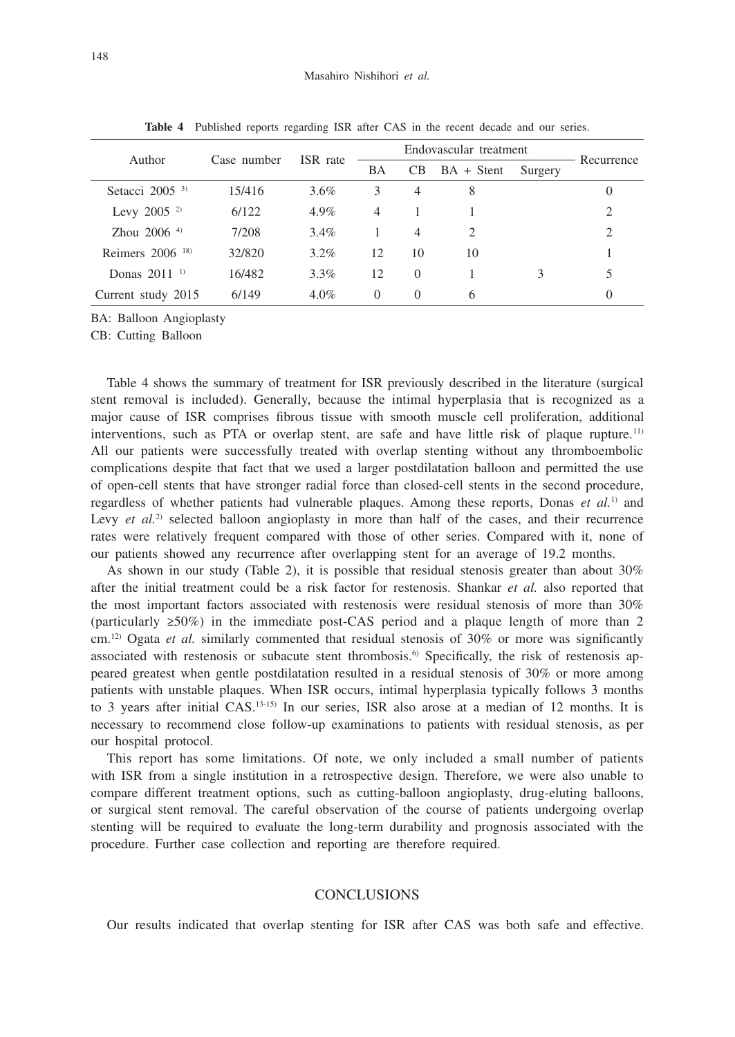| Author                        |             | ISR rate | Endovascular treatment |                |              |         |                             |
|-------------------------------|-------------|----------|------------------------|----------------|--------------|---------|-----------------------------|
|                               | Case number |          | BA                     | <b>CB</b>      | $BA + Stent$ | Surgery | Recurrence                  |
| Setacci $20053$               | 15/416      | 3.6%     | 3                      | $\overline{4}$ | 8            |         | $\theta$                    |
| Levy 2005 $^{2}$              | 6/122       | $4.9\%$  | $\overline{4}$         |                |              |         | $\mathcal{D}_{\mathcal{L}}$ |
| Zhou $2006$ <sup>4)</sup>     | 7/208       | $3.4\%$  |                        | 4              | 2            |         | 2                           |
| Reimers $2006$ <sup>18)</sup> | 32/820      | $3.2\%$  | 12                     | 10             | 10           |         |                             |
| Donas $2011^{-1}$             | 16/482      | $3.3\%$  | 12                     | $\Omega$       |              |         |                             |
| Current study 2015            | 6/149       | $4.0\%$  | $\Omega$               | $\Omega$       | 6            |         | $\left( \right)$            |

**Table 4** Published reports regarding ISR after CAS in the recent decade and our series.

BA: Balloon Angioplasty

CB: Cutting Balloon

Table 4 shows the summary of treatment for ISR previously described in the literature (surgical stent removal is included). Generally, because the intimal hyperplasia that is recognized as a major cause of ISR comprises fibrous tissue with smooth muscle cell proliferation, additional interventions, such as PTA or overlap stent, are safe and have little risk of plaque rupture.<sup>11)</sup> All our patients were successfully treated with overlap stenting without any thromboembolic complications despite that fact that we used a larger postdilatation balloon and permitted the use of open-cell stents that have stronger radial force than closed-cell stents in the second procedure, regardless of whether patients had vulnerable plaques. Among these reports, Donas *et al.*1) and Levy *et al.*<sup>2)</sup> selected balloon angioplasty in more than half of the cases, and their recurrence rates were relatively frequent compared with those of other series. Compared with it, none of our patients showed any recurrence after overlapping stent for an average of 19.2 months.

As shown in our study (Table 2), it is possible that residual stenosis greater than about 30% after the initial treatment could be a risk factor for restenosis. Shankar *et al.* also reported that the most important factors associated with restenosis were residual stenosis of more than 30% (particularly  $\geq 50\%$ ) in the immediate post-CAS period and a plaque length of more than 2 cm.12) Ogata *et al.* similarly commented that residual stenosis of 30% or more was significantly associated with restenosis or subacute stent thrombosis.6) Specifically, the risk of restenosis appeared greatest when gentle postdilatation resulted in a residual stenosis of 30% or more among patients with unstable plaques. When ISR occurs, intimal hyperplasia typically follows 3 months to 3 years after initial CAS.13-15) In our series, ISR also arose at a median of 12 months. It is necessary to recommend close follow-up examinations to patients with residual stenosis, as per our hospital protocol.

This report has some limitations. Of note, we only included a small number of patients with ISR from a single institution in a retrospective design. Therefore, we were also unable to compare different treatment options, such as cutting-balloon angioplasty, drug-eluting balloons, or surgical stent removal. The careful observation of the course of patients undergoing overlap stenting will be required to evaluate the long-term durability and prognosis associated with the procedure. Further case collection and reporting are therefore required.

# **CONCLUSIONS**

Our results indicated that overlap stenting for ISR after CAS was both safe and effective.